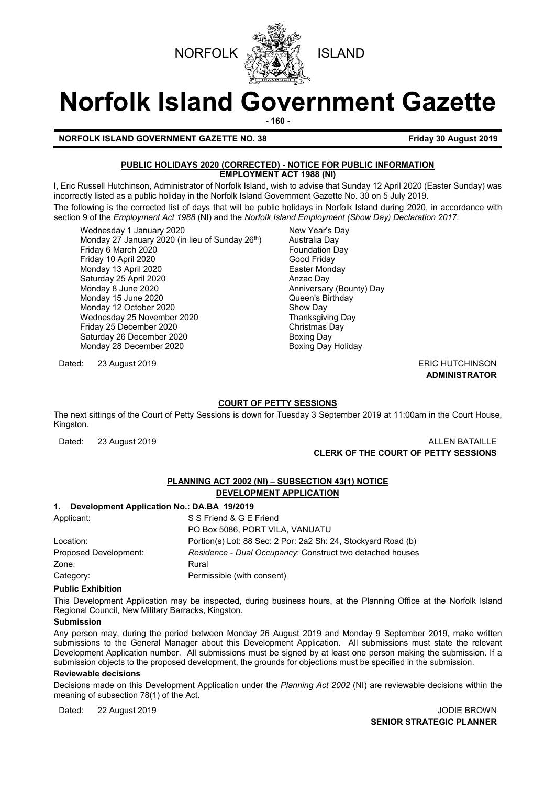



# **Norfolk Island Government Gazette**

**- 160 -**

**NORFOLK ISLAND GOVERNMENT GAZETTE NO. 38 Friday 30 August 2019** 

#### **PUBLIC HOLIDAYS 2020 (CORRECTED) - NOTICE FOR PUBLIC INFORMATION EMPLOYMENT ACT 1988 (NI)**

I, Eric Russell Hutchinson, Administrator of Norfolk Island, wish to advise that Sunday 12 April 2020 (Easter Sunday) was incorrectly listed as a public holiday in the Norfolk Island Government Gazette No. 30 on 5 July 2019.

The following is the corrected list of days that will be public holidays in Norfolk Island during 2020, in accordance with section 9 of the *Employment Act 1988* (NI) and the *Norfolk Island Employment (Show Day) Declaration 2017*:

Wednesday 1 January 2020 <br>Monday 27 January 2020 (in lieu of Sunday 26<sup>th</sup>) Australia Day Monday 27 January 2020 (in lieu of Sunday 26<sup>th</sup>) Australia Day<br>Friday 6 March 2020 Friday 6 March 2020<br>
Friday 10 April 2020<br>
Friday 10 April 2020 Friday 10 April 2020<br>Monday 13 April 2020 Good Friday 13 April 2020 Monday 13 April 2020<br>
Saturday 25 April 2020<br>
Anzac Day Saturday 25 April 2020<br>Monday 8 June 2020 Monday 15 June 2020 **Disk and Search Control Control Cueen's Birthday**<br>
Monday 12 October 2020 **Control Control Control Control Control Control Control Control Control Control Control** Monday 12 October 2020 Show Day Wednesday 25 November 2020 Friday 25 December 2020<br>
Saturday 26 December 2020<br>
Soxing Day Saturday 26 December 2020<br>
Monday 28 December 2020<br>
Boxing Day Holiday Monday 28 December 2020

Dated: 23 August 2019 **ERIC HUTCHINSON** 

Anniversary (Bounty) Day

## **ADMINISTRATOR**

#### **COURT OF PETTY SESSIONS**

The next sittings of the Court of Petty Sessions is down for Tuesday 3 September 2019 at 11:00am in the Court House, Kingston.

Dated: 23 August 2019 **ALLEN BATAILLE CLERK OF THE COURT OF PETTY SESSIONS**

### **PLANNING ACT 2002 (NI) – SUBSECTION 43(1) NOTICE**

#### **DEVELOPMENT APPLICATION**

#### **1. Development Application No.: DA.BA 19/2019**

| Applicant:            | S S Friend & G E Friend                                       |
|-----------------------|---------------------------------------------------------------|
|                       | PO Box 5086, PORT VILA, VANUATU                               |
| Location:             | Portion(s) Lot: 88 Sec: 2 Por: 2a2 Sh: 24, Stockyard Road (b) |
| Proposed Development: | Residence - Dual Occupancy: Construct two detached houses     |
| Zone:                 | Rural                                                         |
| Category:             | Permissible (with consent)                                    |

#### **Public Exhibition**

This Development Application may be inspected, during business hours, at the Planning Office at the Norfolk Island Regional Council, New Military Barracks, Kingston.

#### **Submission**

Any person may, during the period between Monday 26 August 2019 and Monday 9 September 2019, make written submissions to the General Manager about this Development Application. All submissions must state the relevant Development Application number. All submissions must be signed by at least one person making the submission. If a submission objects to the proposed development, the grounds for objections must be specified in the submission.

#### **Reviewable decisions**

Decisions made on this Development Application under the *Planning Act 2002* (NI) are reviewable decisions within the meaning of subsection 78(1) of the Act.

Dated: 22 August 2019 JODIE BROWN

**SENIOR STRATEGIC PLANNER**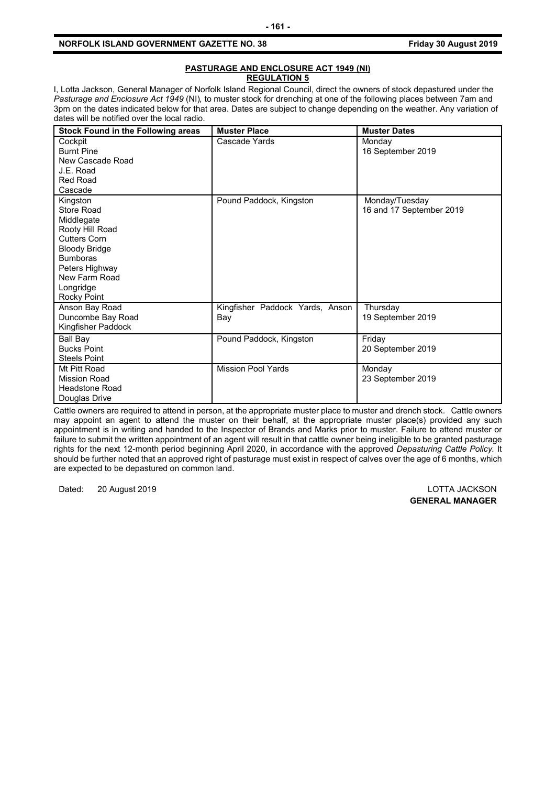#### **NORFOLK ISLAND GOVERNMENT GAZETTE NO. 38 Friday 30 August 2019**

#### **PASTURAGE AND ENCLOSURE ACT 1949 (NI) REGULATION 5**

I, Lotta Jackson, General Manager of Norfolk Island Regional Council, direct the owners of stock depastured under the *Pasturage and Enclosure Act 1949* (NI)*,* to muster stock for drenching at one of the following places between 7am and 3pm on the dates indicated below for that area. Dates are subject to change depending on the weather. Any variation of dates will be notified over the local radio.

| <b>Stock Found in the Following areas</b>                                                                                                                                                | <b>Muster Place</b>                    | <b>Muster Dates</b>                        |
|------------------------------------------------------------------------------------------------------------------------------------------------------------------------------------------|----------------------------------------|--------------------------------------------|
| Cockpit<br><b>Burnt Pine</b><br>New Cascade Road<br>J.E. Road<br><b>Red Road</b><br>Cascade                                                                                              | Cascade Yards                          | Monday<br>16 September 2019                |
| Kingston<br>Store Road<br>Middlegate<br>Rooty Hill Road<br><b>Cutters Corn</b><br><b>Bloody Bridge</b><br><b>Bumboras</b><br>Peters Highway<br>New Farm Road<br>Longridge<br>Rocky Point | Pound Paddock, Kingston                | Monday/Tuesday<br>16 and 17 September 2019 |
| Anson Bay Road<br>Duncombe Bay Road<br>Kingfisher Paddock                                                                                                                                | Kingfisher Paddock Yards, Anson<br>Bay | Thursday<br>19 September 2019              |
| <b>Ball Bay</b><br><b>Bucks Point</b><br><b>Steels Point</b>                                                                                                                             | Pound Paddock, Kingston                | Friday<br>20 September 2019                |
| Mt Pitt Road<br><b>Mission Road</b><br>Headstone Road<br>Douglas Drive                                                                                                                   | <b>Mission Pool Yards</b>              | Monday<br>23 September 2019                |

Cattle owners are required to attend in person, at the appropriate muster place to muster and drench stock. Cattle owners may appoint an agent to attend the muster on their behalf, at the appropriate muster place(s) provided any such appointment is in writing and handed to the Inspector of Brands and Marks prior to muster. Failure to attend muster or failure to submit the written appointment of an agent will result in that cattle owner being ineligible to be granted pasturage rights for the next 12-month period beginning April 2020, in accordance with the approved *Depasturing Cattle Policy.* It should be further noted that an approved right of pasturage must exist in respect of calves over the age of 6 months, which are expected to be depastured on common land.

Dated: 20 August 2019 LOTTA JACKSON

**GENERAL MANAGER**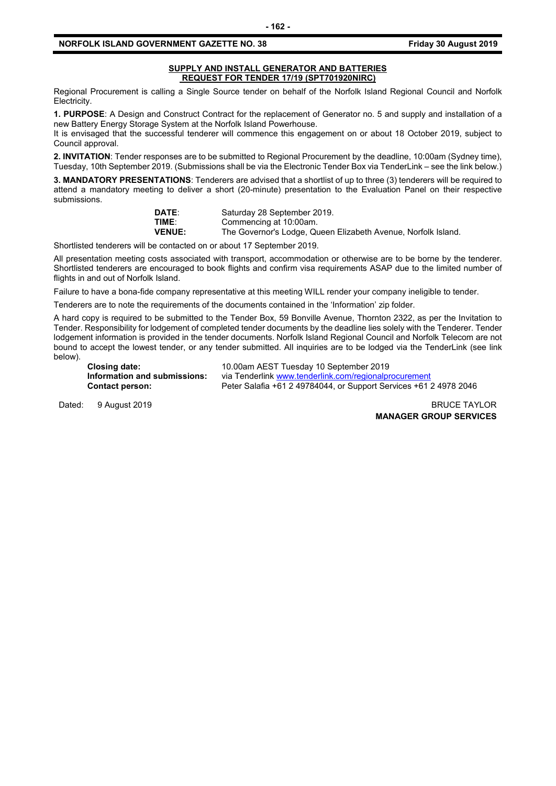#### **NORFOLK ISLAND GOVERNMENT GAZETTE NO. 38 Friday 30 August 2019**

#### **SUPPLY AND INSTALL GENERATOR AND BATTERIES REQUEST FOR TENDER 17/19 (SPT701920NIRC)**

Regional Procurement is calling a Single Source tender on behalf of the Norfolk Island Regional Council and Norfolk Electricity.

**1. PURPOSE**: A Design and Construct Contract for the replacement of Generator no. 5 and supply and installation of a new Battery Energy Storage System at the Norfolk Island Powerhouse.

It is envisaged that the successful tenderer will commence this engagement on or about 18 October 2019, subject to Council approval.

**2. INVITATION**: Tender responses are to be submitted to Regional Procurement by the deadline, 10:00am (Sydney time), Tuesday, 10th September 2019. (Submissions shall be via the Electronic Tender Box via TenderLink – see the link below.)

**3. MANDATORY PRESENTATIONS**: Tenderers are advised that a shortlist of up to three (3) tenderers will be required to attend a mandatory meeting to deliver a short (20-minute) presentation to the Evaluation Panel on their respective submissions.

| <b>DATE:</b>  | Saturday 28 September 2019.                                   |
|---------------|---------------------------------------------------------------|
| TIME:         | Commencing at 10:00am.                                        |
| <b>VENUE:</b> | The Governor's Lodge, Queen Elizabeth Avenue, Norfolk Island. |

Shortlisted tenderers will be contacted on or about 17 September 2019.

All presentation meeting costs associated with transport, accommodation or otherwise are to be borne by the tenderer. Shortlisted tenderers are encouraged to book flights and confirm visa requirements ASAP due to the limited number of flights in and out of Norfolk Island.

Failure to have a bona-fide company representative at this meeting WILL render your company ineligible to tender.

Tenderers are to note the requirements of the documents contained in the 'Information' zip folder.

A hard copy is required to be submitted to the Tender Box, 59 Bonville Avenue, Thornton 2322, as per the Invitation to Tender. Responsibility for lodgement of completed tender documents by the deadline lies solely with the Tenderer. Tender lodgement information is provided in the tender documents. Norfolk Island Regional Council and Norfolk Telecom are not bound to accept the lowest tender, or any tender submitted. All inquiries are to be lodged via the TenderLink (see link below).

**Closing date:** 10.00am AEST Tuesday 10 September 2019 **Information and submissions:** via Tenderlink [www.tenderlink.com/regionalprocurement](http://www.tenderlink.com/regionalprocurement)<br>Contact person: Peter Salafia +61 2 49784044, or Support Services +61 2 **Contact person:** Peter Salafia +61 2 49784044, or Support Services +61 2 4978 2046

Dated: 9 August 2019 **BRUCE TAYLOR** 

**MANAGER GROUP SERVICES**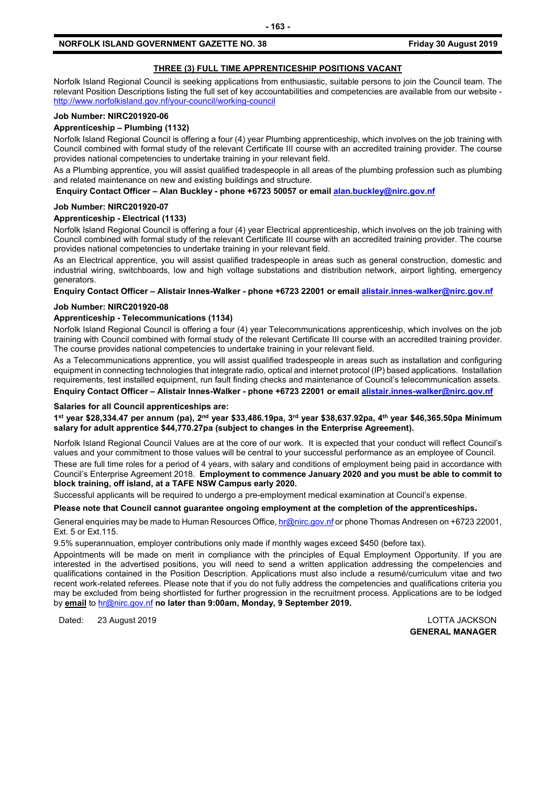#### **THREE (3) FULL TIME APPRENTICESHIP POSITIONS VACANT**

Norfolk Island Regional Council is seeking applications from enthusiastic, suitable persons to join the Council team. The relevant Position Descriptions listing the full set of key accountabilities and competencies are available from our website <http://www.norfolkisland.gov.nf/your-council/working-council>

#### **Job Number: NIRC201920-06**

#### **Apprenticeship – Plumbing (1132)**

Norfolk Island Regional Council is offering a four (4) year Plumbing apprenticeship, which involves on the job training with Council combined with formal study of the relevant Certificate III course with an accredited training provider. The course provides national competencies to undertake training in your relevant field.

As a Plumbing apprentice, you will assist qualified tradespeople in all areas of the plumbing profession such as plumbing and related maintenance on new and existing buildings and structure.

**Enquiry Contact Officer – Alan Buckley - phone +6723 50057 or emai[l alan.buckley@nirc.gov.nf](mailto:alan.buckley@nirc.gov.nf)**

#### **Job Number: NIRC201920-07**

#### **Apprenticeship - Electrical (1133)**

Norfolk Island Regional Council is offering a four (4) year Electrical apprenticeship, which involves on the job training with Council combined with formal study of the relevant Certificate III course with an accredited training provider. The course provides national competencies to undertake training in your relevant field.

As an Electrical apprentice, you will assist qualified tradespeople in areas such as general construction, domestic and industrial wiring, switchboards, low and high voltage substations and distribution network, airport lighting, emergency generators.

**Enquiry Contact Officer – Alistair Innes-Walker - phone +6723 22001 or emai[l alistair.innes-walker@nirc.gov.nf](mailto:alistair.innes-walker@nirc.gov.nf)**

#### **Job Number: NIRC201920-08**

#### **Apprenticeship - Telecommunications (1134)**

Norfolk Island Regional Council is offering a four (4) year Telecommunications apprenticeship, which involves on the job training with Council combined with formal study of the relevant Certificate III course with an accredited training provider. The course provides national competencies to undertake training in your relevant field.

As a Telecommunications apprentice, you will assist qualified tradespeople in areas such as installation and configuring equipment in connecting technologies that integrate radio, optical and internet protocol (IP) based applications. Installation requirements, test installed equipment, run fault finding checks and maintenance of Council's telecommunication assets.

**Enquiry Contact Officer – Alistair Innes-Walker - phone +6723 22001 or emai[l alistair.innes-walker@nirc.gov.nf](mailto:alistair.innes-walker@nirc.gov.nf)**

#### **Salaries for all Council apprenticeships are:**

**1st year \$28,334.47 per annum (pa), 2nd year \$33,486.19pa, 3rd year \$38,637.92pa, 4th year \$46,365.50pa Minimum salary for adult apprentice \$44,770.27pa (subject to changes in the Enterprise Agreement).**

Norfolk Island Regional Council Values are at the core of our work. It is expected that your conduct will reflect Council's values and your commitment to those values will be central to your successful performance as an employee of Council.

These are full time roles for a period of 4 years, with salary and conditions of employment being paid in accordance with Council's Enterprise Agreement 2018. **Employment to commence January 2020 and you must be able to commit to block training, off island, at a TAFE NSW Campus early 2020.**

Successful applicants will be required to undergo a pre-employment medical examination at Council's expense.

#### **Please note that Council cannot guarantee ongoing employment at the completion of the apprenticeships.**

General enquiries may be made to Human Resources Office[, hr@nirc.gov.nf](mailto:hr@nirc.gov.nf) or phone Thomas Andresen on +6723 22001, Ext. 5 or Ext.115.

9.5% superannuation, employer contributions only made if monthly wages exceed \$450 (before tax).

Appointments will be made on merit in compliance with the principles of Equal Employment Opportunity. If you are interested in the advertised positions, you will need to send a written application addressing the competencies and qualifications contained in the Position Description. Applications must also include a resumé/curriculum vitae and two recent work-related referees. Please note that if you do not fully address the competencies and qualifications criteria you may be excluded from being shortlisted for further progression in the recruitment process. Applications are to be lodged by **email** to [hr@nirc.gov.nf](mailto:hr@nirc.gov.nf) **no later than 9:00am, Monday, 9 September 2019.** 

Dated: 23 August 2019 LOTTA JACKSON

**GENERAL MANAGER**